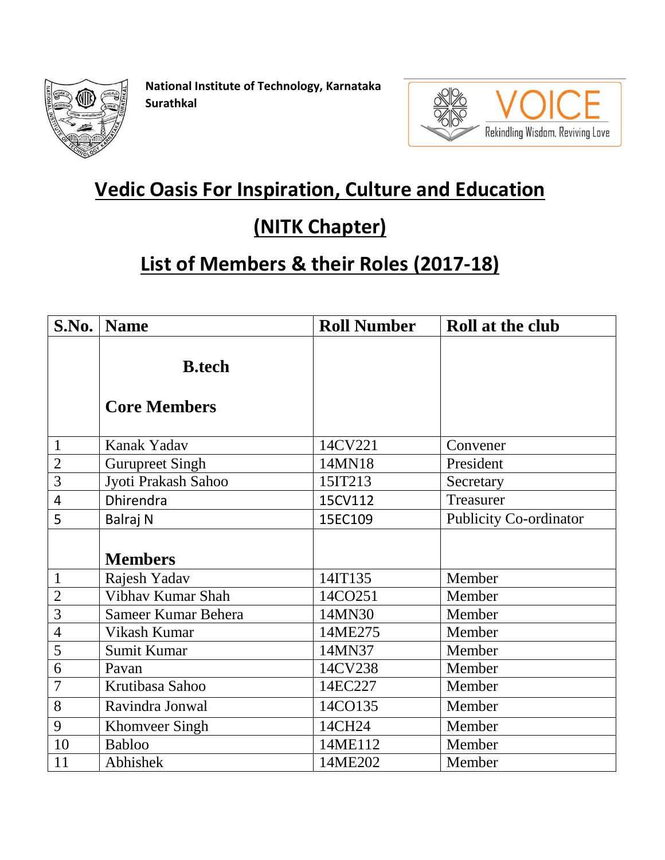

**National Institute of Technology, Karnataka Surathkal**



## **Vedic Oasis For Inspiration, Culture and Education**

## **(NITK Chapter)**

## **List of Members & their Roles (2017-18)**

| S.No.          | <b>Name</b>                          | <b>Roll Number</b> | <b>Roll at the club</b>       |
|----------------|--------------------------------------|--------------------|-------------------------------|
|                | <b>B.tech</b><br><b>Core Members</b> |                    |                               |
| $\mathbf{1}$   | Kanak Yadav                          | 14CV221            | Convener                      |
| $\overline{2}$ | <b>Gurupreet Singh</b>               | 14MN18             | President                     |
| 3              | Jyoti Prakash Sahoo                  | 15IT213            | Secretary                     |
| $\overline{4}$ | <b>Dhirendra</b>                     | 15CV112            | Treasurer                     |
| 5              | Balraj N                             | 15EC109            | <b>Publicity Co-ordinator</b> |
|                | <b>Members</b>                       |                    |                               |
| $\mathbf{1}$   | Rajesh Yadav                         | 14IT135            | Member                        |
| $\overline{2}$ | Vibhav Kumar Shah                    | 14CO251            | Member                        |
| 3              | Sameer Kumar Behera                  | 14MN30             | Member                        |
| $\overline{4}$ | Vikash Kumar                         | 14ME275            | Member                        |
| 5              | Sumit Kumar                          | 14MN37             | Member                        |
| 6              | Pavan                                | 14CV238            | Member                        |
| $\overline{7}$ | Krutibasa Sahoo                      | 14EC227            | Member                        |
| 8              | Ravindra Jonwal                      | 14CO135            | Member                        |
| 9              | <b>Khomveer Singh</b>                | 14CH24             | Member                        |
| 10             | <b>Babloo</b>                        | 14ME112            | Member                        |
| 11             | Abhishek                             | 14ME202            | Member                        |